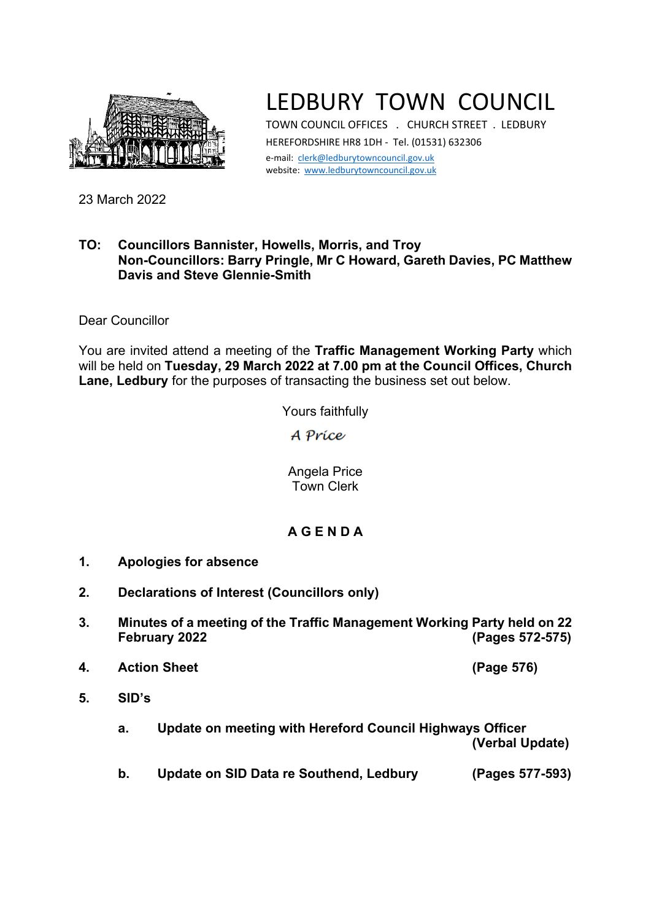

## LEDBURY TOWN COUNCIL

TOWN COUNCIL OFFICES . CHURCH STREET . LEDBURY HEREFORDSHIRE HR8 1DH - Tel. (01531) 632306 e-mail: [clerk@ledburytowncouncil.gov.uk](mailto:clerk@ledburytowncouncil.gov.uk) website: [www.ledburytowncouncil.gov.uk](http://www.ledburytowncouncil.gov.uk/)

23 March 2022

## **TO: Councillors Bannister, Howells, Morris, and Troy Non-Councillors: Barry Pringle, Mr C Howard, Gareth Davies, PC Matthew Davis and Steve Glennie-Smith**

Dear Councillor

You are invited attend a meeting of the **Traffic Management Working Party** which will be held on **Tuesday, 29 March 2022 at 7.00 pm at the Council Offices, Church Lane, Ledbury** for the purposes of transacting the business set out below.

Yours faithfully

A Príce

Angela Price Town Clerk

## **A G E N D A**

- **1. Apologies for absence**
- **2. Declarations of Interest (Councillors only)**
- **3. Minutes of a meeting of the Traffic Management Working Party held on 22 February 2022 (Pages 572-575)**
- **4. Action Sheet (Page 576)**
- **5. SID's**
	- **a. Update on meeting with Hereford Council Highways Officer**

**(Verbal Update)**

**b. Update on SID Data re Southend, Ledbury (Pages 577-593)**